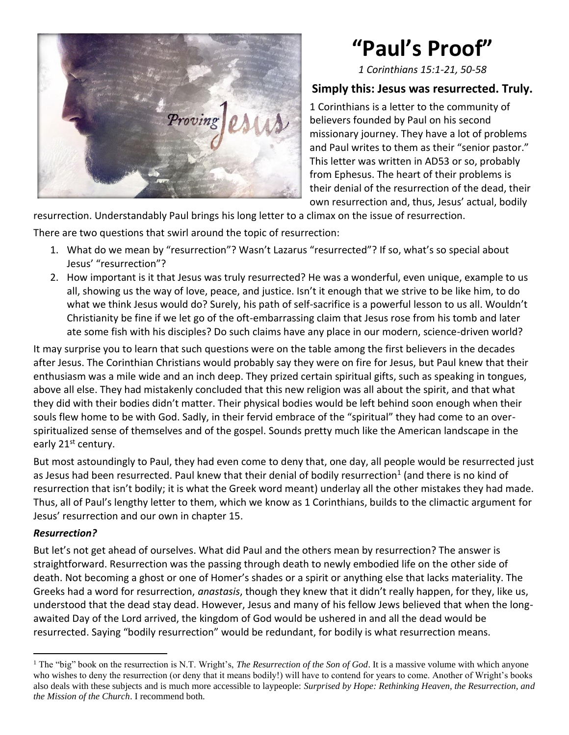

# **"Paul's Proof"**

*1 Corinthians 15:1-21, 50-58*

### **Simply this: Jesus was resurrected. Truly.**

1 Corinthians is a letter to the community of believers founded by Paul on his second missionary journey. They have a lot of problems and Paul writes to them as their "senior pastor." This letter was written in AD53 or so, probably from Ephesus. The heart of their problems is their denial of the resurrection of the dead, their own resurrection and, thus, Jesus' actual, bodily

resurrection. Understandably Paul brings his long letter to a climax on the issue of resurrection.

There are two questions that swirl around the topic of resurrection:

- 1. What do we mean by "resurrection"? Wasn't Lazarus "resurrected"? If so, what's so special about Jesus' "resurrection"?
- 2. How important is it that Jesus was truly resurrected? He was a wonderful, even unique, example to us all, showing us the way of love, peace, and justice. Isn't it enough that we strive to be like him, to do what we think Jesus would do? Surely, his path of self-sacrifice is a powerful lesson to us all. Wouldn't Christianity be fine if we let go of the oft-embarrassing claim that Jesus rose from his tomb and later ate some fish with his disciples? Do such claims have any place in our modern, science-driven world?

It may surprise you to learn that such questions were on the table among the first believers in the decades after Jesus. The Corinthian Christians would probably say they were on fire for Jesus, but Paul knew that their enthusiasm was a mile wide and an inch deep. They prized certain spiritual gifts, such as speaking in tongues, above all else. They had mistakenly concluded that this new religion was all about the spirit, and that what they did with their bodies didn't matter. Their physical bodies would be left behind soon enough when their souls flew home to be with God. Sadly, in their fervid embrace of the "spiritual" they had come to an overspiritualized sense of themselves and of the gospel. Sounds pretty much like the American landscape in the early 21<sup>st</sup> century.

But most astoundingly to Paul, they had even come to deny that, one day, all people would be resurrected just as Jesus had been resurrected. Paul knew that their denial of bodily resurrection<sup>1</sup> (and there is no kind of resurrection that isn't bodily; it is what the Greek word meant) underlay all the other mistakes they had made. Thus, all of Paul's lengthy letter to them, which we know as 1 Corinthians, builds to the climactic argument for Jesus' resurrection and our own in chapter 15.

#### *Resurrection?*

But let's not get ahead of ourselves. What did Paul and the others mean by resurrection? The answer is straightforward. Resurrection was the passing through death to newly embodied life on the other side of death. Not becoming a ghost or one of Homer's shades or a spirit or anything else that lacks materiality. The Greeks had a word for resurrection, *anastasis*, though they knew that it didn't really happen, for they, like us, understood that the dead stay dead. However, Jesus and many of his fellow Jews believed that when the longawaited Day of the Lord arrived, the kingdom of God would be ushered in and all the dead would be resurrected. Saying "bodily resurrection" would be redundant, for bodily is what resurrection means.

<sup>1</sup> The "big" book on the resurrection is N.T. Wright's, *The Resurrection of the Son of God*. It is a massive volume with which anyone who wishes to deny the resurrection (or deny that it means bodily!) will have to contend for years to come. Another of Wright's books also deals with these subjects and is much more accessible to laypeople: *Surprised by Hope: Rethinking Heaven, the Resurrection, and the Mission of the Church*. I recommend both.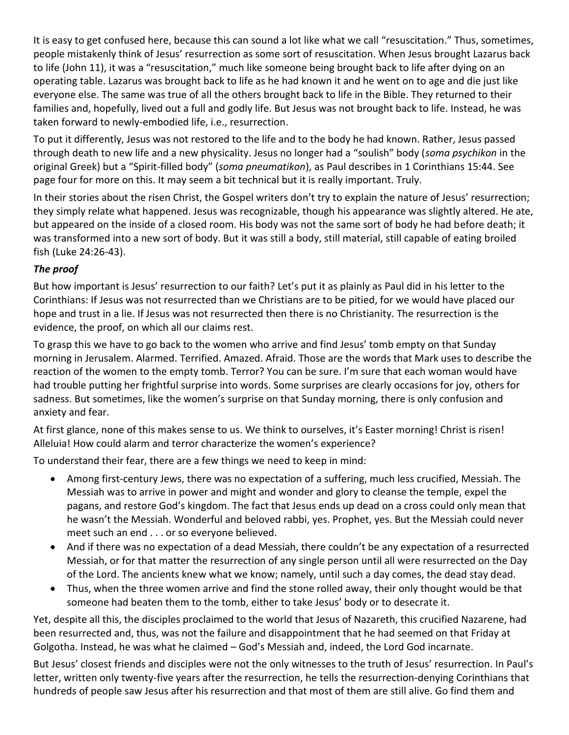It is easy to get confused here, because this can sound a lot like what we call "resuscitation." Thus, sometimes, people mistakenly think of Jesus' resurrection as some sort of resuscitation. When Jesus brought Lazarus back to life (John 11), it was a "resuscitation," much like someone being brought back to life after dying on an operating table. Lazarus was brought back to life as he had known it and he went on to age and die just like everyone else. The same was true of all the others brought back to life in the Bible. They returned to their families and, hopefully, lived out a full and godly life. But Jesus was not brought back to life. Instead, he was taken forward to newly-embodied life, i.e., resurrection.

To put it differently, Jesus was not restored to the life and to the body he had known. Rather, Jesus passed through death to new life and a new physicality. Jesus no longer had a "soulish" body (*soma psychikon* in the original Greek) but a "Spirit-filled body" (*soma pneumatikon*), as Paul describes in 1 Corinthians 15:44. See page four for more on this. It may seem a bit technical but it is really important. Truly.

In their stories about the risen Christ, the Gospel writers don't try to explain the nature of Jesus' resurrection; they simply relate what happened. Jesus was recognizable, though his appearance was slightly altered. He ate, but appeared on the inside of a closed room. His body was not the same sort of body he had before death; it was transformed into a new sort of body. But it was still a body, still material, still capable of eating broiled fish (Luke 24:26-43).

#### *The proof*

But how important is Jesus' resurrection to our faith? Let's put it as plainly as Paul did in his letter to the Corinthians: If Jesus was not resurrected than we Christians are to be pitied, for we would have placed our hope and trust in a lie. If Jesus was not resurrected then there is no Christianity. The resurrection is the evidence, the proof, on which all our claims rest.

To grasp this we have to go back to the women who arrive and find Jesus' tomb empty on that Sunday morning in Jerusalem. Alarmed. Terrified. Amazed. Afraid. Those are the words that Mark uses to describe the reaction of the women to the empty tomb. Terror? You can be sure. I'm sure that each woman would have had trouble putting her frightful surprise into words. Some surprises are clearly occasions for joy, others for sadness. But sometimes, like the women's surprise on that Sunday morning, there is only confusion and anxiety and fear.

At first glance, none of this makes sense to us. We think to ourselves, it's Easter morning! Christ is risen! Alleluia! How could alarm and terror characterize the women's experience?

To understand their fear, there are a few things we need to keep in mind:

- Among first-century Jews, there was no expectation of a suffering, much less crucified, Messiah. The Messiah was to arrive in power and might and wonder and glory to cleanse the temple, expel the pagans, and restore God's kingdom. The fact that Jesus ends up dead on a cross could only mean that he wasn't the Messiah. Wonderful and beloved rabbi, yes. Prophet, yes. But the Messiah could never meet such an end . . . or so everyone believed.
- And if there was no expectation of a dead Messiah, there couldn't be any expectation of a resurrected Messiah, or for that matter the resurrection of any single person until all were resurrected on the Day of the Lord. The ancients knew what we know; namely, until such a day comes, the dead stay dead.
- Thus, when the three women arrive and find the stone rolled away, their only thought would be that someone had beaten them to the tomb, either to take Jesus' body or to desecrate it.

Yet, despite all this, the disciples proclaimed to the world that Jesus of Nazareth, this crucified Nazarene, had been resurrected and, thus, was not the failure and disappointment that he had seemed on that Friday at Golgotha. Instead, he was what he claimed – God's Messiah and, indeed, the Lord God incarnate.

But Jesus' closest friends and disciples were not the only witnesses to the truth of Jesus' resurrection. In Paul's letter, written only twenty-five years after the resurrection, he tells the resurrection-denying Corinthians that hundreds of people saw Jesus after his resurrection and that most of them are still alive. Go find them and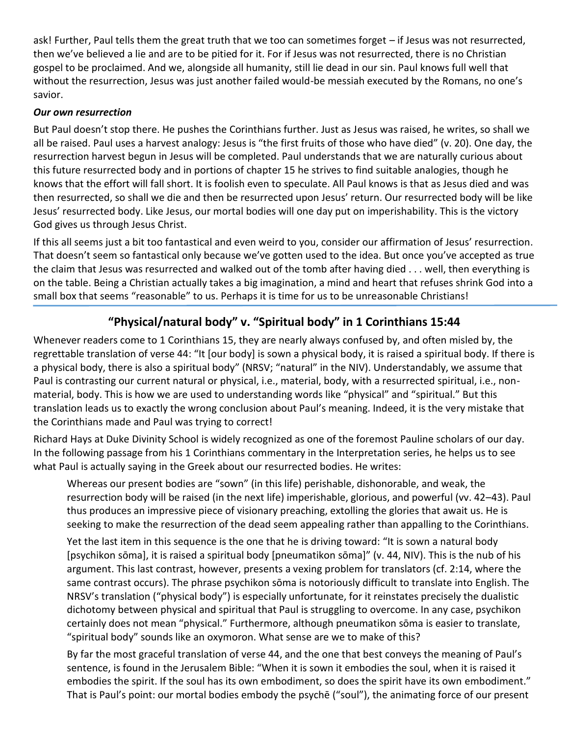ask! Further, Paul tells them the great truth that we too can sometimes forget – if Jesus was not resurrected, then we've believed a lie and are to be pitied for it. For if Jesus was not resurrected, there is no Christian gospel to be proclaimed. And we, alongside all humanity, still lie dead in our sin. Paul knows full well that without the resurrection, Jesus was just another failed would-be messiah executed by the Romans, no one's savior.

#### *Our own resurrection*

But Paul doesn't stop there. He pushes the Corinthians further. Just as Jesus was raised, he writes, so shall we all be raised. Paul uses a harvest analogy: Jesus is "the first fruits of those who have died" (v. 20). One day, the resurrection harvest begun in Jesus will be completed. Paul understands that we are naturally curious about this future resurrected body and in portions of chapter 15 he strives to find suitable analogies, though he knows that the effort will fall short. It is foolish even to speculate. All Paul knows is that as Jesus died and was then resurrected, so shall we die and then be resurrected upon Jesus' return. Our resurrected body will be like Jesus' resurrected body. Like Jesus, our mortal bodies will one day put on imperishability. This is the victory God gives us through Jesus Christ.

If this all seems just a bit too fantastical and even weird to you, consider our affirmation of Jesus' resurrection. That doesn't seem so fantastical only because we've gotten used to the idea. But once you've accepted as true the claim that Jesus was resurrected and walked out of the tomb after having died . . . well, then everything is on the table. Being a Christian actually takes a big imagination, a mind and heart that refuses shrink God into a small box that seems "reasonable" to us. Perhaps it is time for us to be unreasonable Christians!

## **"Physical/natural body" v. "Spiritual body" in 1 Corinthians 15:44**

Whenever readers come to 1 Corinthians 15, they are nearly always confused by, and often misled by, the regrettable translation of verse 44: "It [our body] is sown a physical body, it is raised a spiritual body. If there is a physical body, there is also a spiritual body" (NRSV; "natural" in the NIV). Understandably, we assume that Paul is contrasting our current natural or physical, i.e., material, body, with a resurrected spiritual, i.e., nonmaterial, body. This is how we are used to understanding words like "physical" and "spiritual." But this translation leads us to exactly the wrong conclusion about Paul's meaning. Indeed, it is the very mistake that the Corinthians made and Paul was trying to correct!

Richard Hays at Duke Divinity School is widely recognized as one of the foremost Pauline scholars of our day. In the following passage from his 1 Corinthians commentary in the Interpretation series, he helps us to see what Paul is actually saying in the Greek about our resurrected bodies. He writes:

Whereas our present bodies are "sown" (in this life) perishable, dishonorable, and weak, the resurrection body will be raised (in the next life) imperishable, glorious, and powerful (vv. 42–43). Paul thus produces an impressive piece of visionary preaching, extolling the glories that await us. He is seeking to make the resurrection of the dead seem appealing rather than appalling to the Corinthians.

Yet the last item in this sequence is the one that he is driving toward: "It is sown a natural body [psychikon sōma], it is raised a spiritual body [pneumatikon sōma]" (v. 44, NIV). This is the nub of his argument. This last contrast, however, presents a vexing problem for translators (cf. 2:14, where the same contrast occurs). The phrase psychikon sōma is notoriously difficult to translate into English. The NRSV's translation ("physical body") is especially unfortunate, for it reinstates precisely the dualistic dichotomy between physical and spiritual that Paul is struggling to overcome. In any case, psychikon certainly does not mean "physical." Furthermore, although pneumatikon sōma is easier to translate, "spiritual body" sounds like an oxymoron. What sense are we to make of this?

By far the most graceful translation of verse 44, and the one that best conveys the meaning of Paul's sentence, is found in the Jerusalem Bible: "When it is sown it embodies the soul, when it is raised it embodies the spirit. If the soul has its own embodiment, so does the spirit have its own embodiment." That is Paul's point: our mortal bodies embody the psychē ("soul"), the animating force of our present